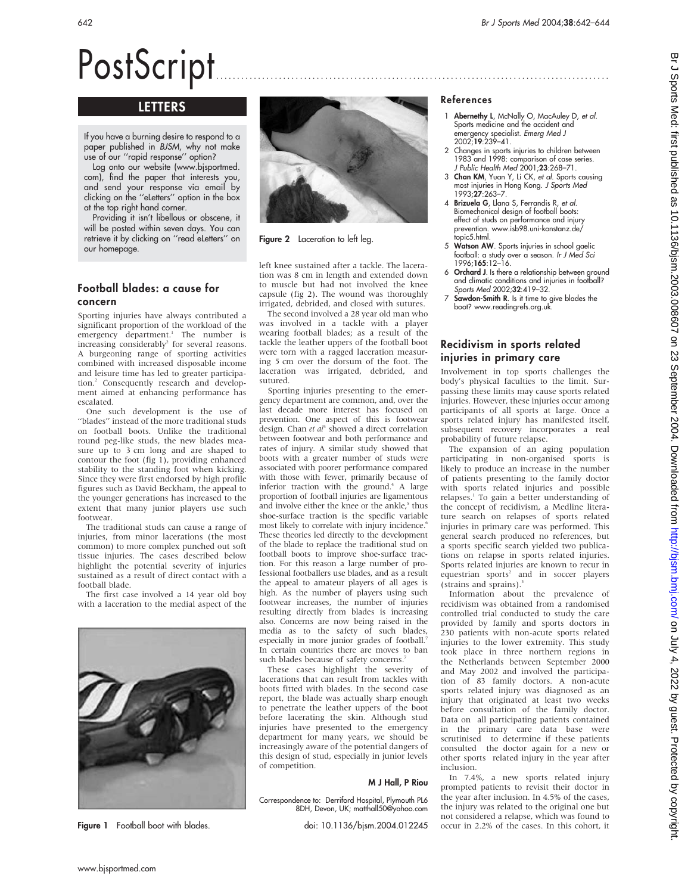# PostScript ..............................................................................................

## LETTERS

If you have a burning desire to respond to a paper published in BJSM, why not make use of our ''rapid response'' option?

Log onto our website (www.bjsportmed. com), find the paper that interests you, and send your response via email by clicking on the ''eLetters'' option in the box at the top right hand corner.

Providing it isn't libellous or obscene, it will be posted within seven days. You can retrieve it by clicking on ''read eLetters'' on our homepage.

## Football blades: a cause for concern

Sporting injuries have always contributed a significant proportion of the workload of the emergency department.<sup>1</sup> The number is increasing considerably<sup>2</sup> for several reasons. A burgeoning range of sporting activities combined with increased disposable income and leisure time has led to greater participation.<sup>2</sup> Consequently research and development aimed at enhancing performance has escalated.

One such development is the use of ''blades'' instead of the more traditional studs on football boots. Unlike the traditional round peg-like studs, the new blades measure up to 3 cm long and are shaped to contour the foot (fig 1), providing enhanced stability to the standing foot when kicking. Since they were first endorsed by high profile figures such as David Beckham, the appeal to the younger generations has increased to the extent that many junior players use such footwear.

The traditional studs can cause a range of injuries, from minor lacerations (the most common) to more complex punched out soft tissue injuries. The cases described below highlight the potential severity of injuries sustained as a result of direct contact with a football blade.

The first case involved a 14 year old boy with a laceration to the medial aspect of the





Figure 2 Laceration to left leg.

left knee sustained after a tackle. The laceration was 8 cm in length and extended down to muscle but had not involved the knee capsule (fig 2). The wound was thoroughly irrigated, debrided, and closed with sutures.

The second involved a 28 year old man who was involved in a tackle with a player wearing football blades; as a result of the tackle the leather uppers of the football boot were torn with a ragged laceration measuring 5 cm over the dorsum of the foot. The laceration was irrigated, debrided, and sutured.

Sporting injuries presenting to the emergency department are common, and, over the last decade more interest has focused on prevention. One aspect of this is footwear design. Chan *et al*<sup>3</sup> showed a direct correlation between footwear and both performance and rates of injury. A similar study showed that boots with a greater number of studs were associated with poorer performance compared with those with fewer, primarily because of inferior traction with the ground.<sup>4</sup> A large proportion of football injuries are ligamentous and involve either the knee or the ankle,<sup>5</sup> thus shoe-surface traction is the specific variable most likely to correlate with injury incidence.<sup>6</sup> These theories led directly to the development of the blade to replace the traditional stud on football boots to improve shoe-surface traction. For this reason a large number of professional footballers use blades, and as a result the appeal to amateur players of all ages is high. As the number of players using such footwear increases, the number of injuries resulting directly from blades is increasing also. Concerns are now being raised in the media as to the safety of such blades, especially in more junior grades of football.<sup>7</sup> In certain countries there are moves to ban such blades because of safety concerns.<sup>7</sup>

These cases highlight the severity of lacerations that can result from tackles with boots fitted with blades. In the second case report, the blade was actually sharp enough to penetrate the leather uppers of the boot before lacerating the skin. Although stud injuries have presented to the emergency department for many years, we should be increasingly aware of the potential dangers of this design of stud, especially in junior levels of competition.

#### M J Hall, P Riou

Correspondence to: Derriford Hospital, Plymouth PL6 8DH, Devon, UK; matthall50@yahoo.com

doi: 10.1136/bjsm.2004.012245

#### References

- Abernethy L, McNally O, MacAuley D, et al. Sports medicine and the accident and emergency specialist. Emerg Med J 2002;19:239–41.
- 2 Changes in sports injuries to children between 1983 and 1998: comparison of case series. J Public Health Med 2001;23:268–71.
- 3 Chan KM, Yuan Y, Li CK, et al. Sports causing most injuries in Hong Kong. J Sports Med 1993;27:263–7.
- 4 Brizuela G, Llana S, Ferrandis R, et al. Biomechanical design of football boots: effect of studs on performance and injury prevention. www.isb98.uni-konstanz.de/ topic5.html.
- 5 Watson AW. Sports injuries in school gaelic football: a study over a season. Ir J Med Sci 1996;165:12–16.
- 6 Orchard J. Is there a relationship between ground and climatic conditions and injuries in football? Sports Med 2002;32:419–32.
- Sawdon-Smith R. Is it time to give blades the boot? www.readingrefs.org.uk.

## Recidivism in sports related injuries in primary care

Involvement in top sports challenges the body's physical faculties to the limit. Surpassing these limits may cause sports related injuries. However, these injuries occur among participants of all sports at large. Once a sports related injury has manifested itself, subsequent recovery incorporates a real probability of future relapse.

The expansion of an aging population participating in non-organised sports is likely to produce an increase in the number of patients presenting to the family doctor with sports related injuries and possible relapses.1 To gain a better understanding of the concept of recidivism, a Medline literature search on relapses of sports related injuries in primary care was performed. This general search produced no references, but a sports specific search yielded two publications on relapse in sports related injuries. Sports related injuries are known to recur in equestrian sports<sup>2</sup> and in soccer players (strains and sprains).<sup>3</sup>

Information about the prevalence of recidivism was obtained from a randomised controlled trial conducted to study the care provided by family and sports doctors in 230 patients with non-acute sports related injuries to the lower extremity. This study took place in three northern regions in the Netherlands between September 2000 and May 2002 and involved the participation of 83 family doctors. A non-acute sports related injury was diagnosed as an injury that originated at least two weeks before consultation of the family doctor. Data on all participating patients contained in the primary care data base were scrutinised to determine if these patients consulted the doctor again for a new or other sports related injury in the year after inclusion.

In 7.4%, a new sports related injury prompted patients to revisit their doctor in the year after inclusion. In 4.5% of the cases, the injury was related to the original one but not considered a relapse, which was found to Figure 1 Football boot with blades.  $\frac{1}{10.1136}{\rm b}$ ism.2004.012245 occur in 2.2% of the cases. In this cohort, it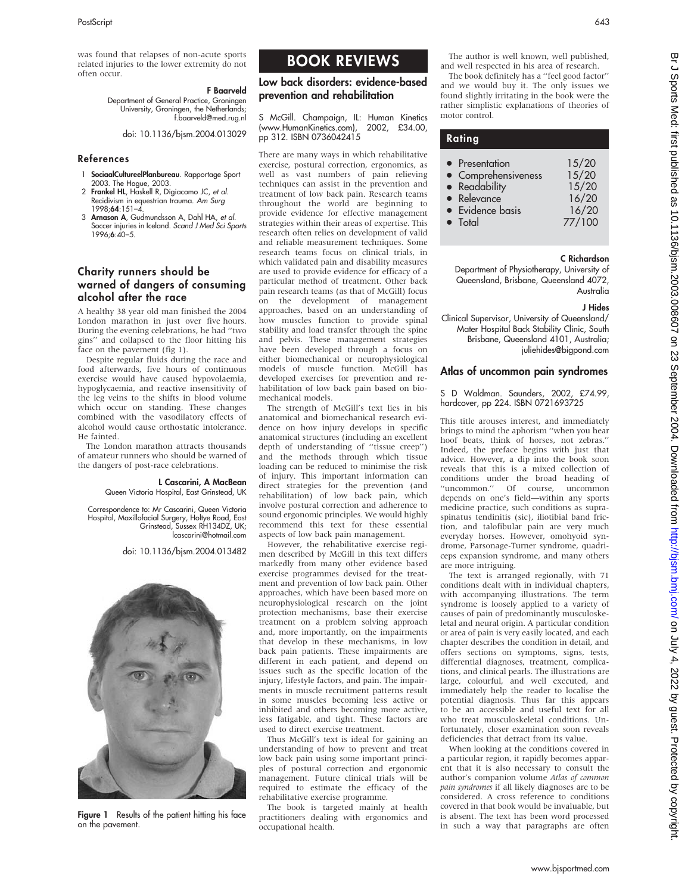was found that relapses of non-acute sports related injuries to the lower extremity do not often occur.

#### F Baarveld

Department of General Practice, Groningen University, Groningen, the Netherlands; f.baarveld@med.rug.nl

doi: 10.1136/bjsm.2004.013029

#### References

- 1 SociaalCultureelPlanbureau. Rapportage Sport
- 2003. The Hague, 2003.<br>2 **Frankel HL**, Haskell R, Digiacomo JC, et al. Recidivism in equestrian trauma. Am Surg 1998;64:151–4.
- 3 Arnason A, Gudmundsson A, Dahl HA, et al. Soccer injuries in Iceland. Scand J Med Sci Sports 1996;6:40–5.

## Charity runners should be warned of dangers of consuming alcohol after the race

A healthy 38 year old man finished the 2004 London marathon in just over five hours. During the evening celebrations, he had ''two gins'' and collapsed to the floor hitting his face on the pavement (fig 1).

Despite regular fluids during the race and food afterwards, five hours of continuous exercise would have caused hypovolaemia, hypoglycaemia, and reactive insensitivity of the leg veins to the shifts in blood volume which occur on standing. These changes combined with the vasodilatory effects of alcohol would cause orthostatic intolerance. He fainted.

The London marathon attracts thousands of amateur runners who should be warned of the dangers of post-race celebrations.

#### L Cascarini, A MacBean Queen Victoria Hospital, East Grinstead, UK

Correspondence to: Mr Cascarini, Queen Victoria Hospital, Maxillofacial Surgery, Holtye Road, East Grinstead, Sussex RH134DZ, UK; lcascarini@hotmail.com

#### doi: 10.1136/bjsm.2004.013482



Figure 1 Results of the patient hitting his face on the pavement.

## BOOK REVIEWS

## Low back disorders: evidence-based prevention and rehabilitation

S McGill. Champaign, IL: Human Kinetics (www.HumanKinetics.com), 2002, £34.00, pp 312. ISBN 0736042415

There are many ways in which rehabilitative exercise, postural correction, ergonomics, as well as vast numbers of pain relieving techniques can assist in the prevention and treatment of low back pain. Research teams throughout the world are beginning to provide evidence for effective management strategies within their areas of expertise. This research often relies on development of valid and reliable measurement techniques. Some research teams focus on clinical trials, in which validated pain and disability measures are used to provide evidence for efficacy of a particular method of treatment. Other back pain research teams (as that of McGill) focus on the development of management approaches, based on an understanding of how muscles function to provide spinal stability and load transfer through the spine and pelvis. These management strategies have been developed through a focus on either biomechanical or neurophysiological models of muscle function. McGill has developed exercises for prevention and rehabilitation of low back pain based on biomechanical models.

The strength of McGill's text lies in his anatomical and biomechanical research evidence on how injury develops in specific anatomical structures (including an excellent depth of understanding of ''tissue creep'') and the methods through which tissue loading can be reduced to minimise the risk of injury. This important information can direct strategies for the prevention (and rehabilitation) of low back pain, which involve postural correction and adherence to sound ergonomic principles. We would highly recommend this text for these essential aspects of low back pain management.

However, the rehabilitative exercise regimen described by McGill in this text differs markedly from many other evidence based exercise programmes devised for the treatment and prevention of low back pain. Other approaches, which have been based more on neurophysiological research on the joint protection mechanisms, base their exercise treatment on a problem solving approach and, more importantly, on the impairments that develop in these mechanisms, in low back pain patients. These impairments are different in each patient, and depend on issues such as the specific location of the injury, lifestyle factors, and pain. The impairments in muscle recruitment patterns result in some muscles becoming less active or inhibited and others becoming more active, less fatigable, and tight. These factors are used to direct exercise treatment.

Thus McGill's text is ideal for gaining an understanding of how to prevent and treat low back pain using some important principles of postural correction and ergonomic management. Future clinical trials will be required to estimate the efficacy of the rehabilitative exercise programme.

The book is targeted mainly at health practitioners dealing with ergonomics and occupational health.

The author is well known, well published, and well respected in his area of research.

The book definitely has a ''feel good factor'' and we would buy it. The only issues we found slightly irritating in the book were the rather simplistic explanations of theories of motor control.

#### Rating

| • Presentation<br>• Comprehensiveness<br>• Readability<br>• Relevance | 15/20<br>15/20<br>15/20<br>16/20 |
|-----------------------------------------------------------------------|----------------------------------|
|                                                                       |                                  |
| • Evidence basis                                                      | 16/20                            |
| • Total                                                               | 77/100                           |
|                                                                       |                                  |

#### C Richardson

Department of Physiotherapy, University of Queensland, Brisbane, Queensland 4072, Australia

#### J Hides

Clinical Supervisor, University of Queensland/ Mater Hospital Back Stability Clinic, South Brisbane, Queensland 4101, Australia; juliehides@bigpond.com

#### Atlas of uncommon pain syndromes

#### S D Waldman. Saunders, 2002, £74.99, hardcover, pp 224. ISBN 0721693725

This title arouses interest, and immediately brings to mind the aphorism ''when you hear hoof beats, think of horses, not zebras.'' Indeed, the preface begins with just that advice. However, a dip into the book soon reveals that this is a mixed collection of conditions under the broad heading of ''uncommon.'' Of course, uncommon depends on one's field—within any sports medicine practice, such conditions as supraspinatus tendinitis (sic), iliotibial band friction, and talofibular pain are very much everyday horses. However, omohyoid syndrome, Parsonage-Turner syndrome, quadriceps expansion syndrome, and many others are more intriguing.

The text is arranged regionally, with 71 conditions dealt with in individual chapters, with accompanying illustrations. The term syndrome is loosely applied to a variety of causes of pain of predominantly musculoskeletal and neural origin. A particular condition or area of pain is very easily located, and each chapter describes the condition in detail, and offers sections on symptoms, signs, tests, differential diagnoses, treatment, complications, and clinical pearls. The illustrations are large, colourful, and well executed, and immediately help the reader to localise the potential diagnosis. Thus far this appears to be an accessible and useful text for all who treat musculoskeletal conditions. Unfortunately, closer examination soon reveals deficiencies that detract from its value.

When looking at the conditions covered in a particular region, it rapidly becomes apparent that it is also necessary to consult the author's companion volume Atlas of common pain syndromes if all likely diagnoses are to be considered. A cross reference to conditions covered in that book would be invaluable, but is absent. The text has been word processed in such a way that paragraphs are often